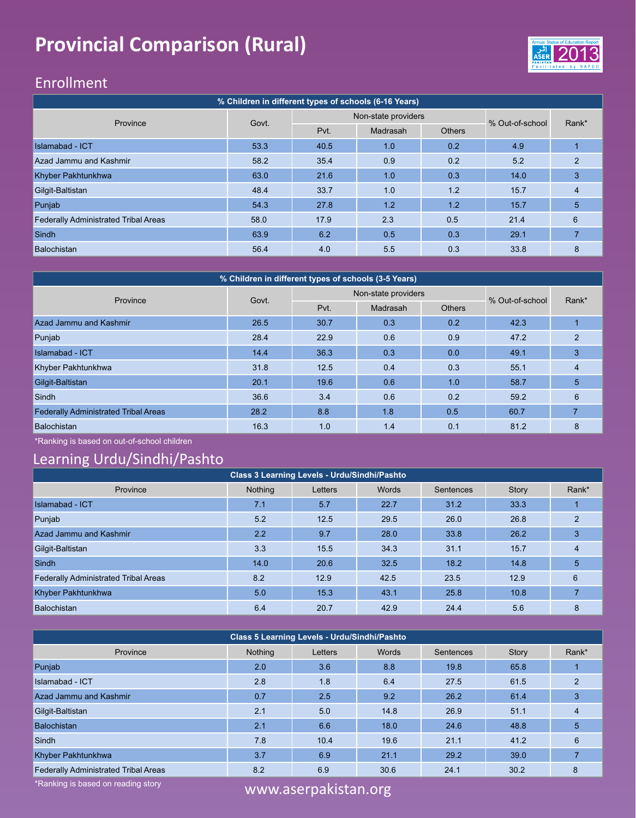### **Provincial Comparison (Rural)**



### Enrollment

| % Children in different types of schools (6-16 Years) |       |      |                     |        |                 |                |  |  |  |  |  |
|-------------------------------------------------------|-------|------|---------------------|--------|-----------------|----------------|--|--|--|--|--|
| Province                                              | Govt. |      | Non-state providers |        | % Out-of-school | Rank*          |  |  |  |  |  |
|                                                       |       | Pvt. | Madrasah            | Others |                 |                |  |  |  |  |  |
| <b>Islamabad - ICT</b>                                | 53.3  | 40.5 | 1.0                 | 0.2    | 4.9             |                |  |  |  |  |  |
| Azad Jammu and Kashmir                                | 58.2  | 35.4 | 0.9                 | 0.2    | 5.2             | $\mathfrak{p}$ |  |  |  |  |  |
| Khyber Pakhtunkhwa                                    | 63.0  | 21.6 | 1.0                 | 0.3    | 14.0            | 3              |  |  |  |  |  |
| Gilgit-Baltistan                                      | 48.4  | 33.7 | 1.0                 | 1.2    | 15.7            | 4              |  |  |  |  |  |
| Punjab                                                | 54.3  | 27.8 | 1.2                 | 1.2    | 15.7            | 5              |  |  |  |  |  |
| <b>Federally Administrated Tribal Areas</b>           | 58.0  | 17.9 | 2.3                 | 0.5    | 21.4            | 6              |  |  |  |  |  |
| <b>Sindh</b>                                          | 63.9  | 6.2  | 0.5                 | 0.3    | 29.1            |                |  |  |  |  |  |
| Balochistan                                           | 56.4  | 4.0  | 5.5                 | 0.3    | 33.8            | 8              |  |  |  |  |  |

| % Children in different types of schools (3-5 Years) |       |      |                     |               |                 |                |  |  |  |  |  |
|------------------------------------------------------|-------|------|---------------------|---------------|-----------------|----------------|--|--|--|--|--|
| Province                                             | Govt. |      | Non-state providers |               | % Out-of-school | Rank*          |  |  |  |  |  |
|                                                      |       | Pvt. | Madrasah            | <b>Others</b> |                 |                |  |  |  |  |  |
| Azad Jammu and Kashmir                               | 26.5  | 30.7 | 0.3                 | 0.2           | 42.3            |                |  |  |  |  |  |
| Punjab                                               | 28.4  | 22.9 | 0.6                 | 0.9           | 47.2            | $\mathfrak{p}$ |  |  |  |  |  |
| <b>Islamabad - ICT</b>                               | 14.4  | 36.3 | 0.3                 | 0.0           | 49.1            | 3              |  |  |  |  |  |
| Khyber Pakhtunkhwa                                   | 31.8  | 12.5 | 0.4                 | 0.3           | 55.1            | 4              |  |  |  |  |  |
| Gilgit-Baltistan                                     | 20.1  | 19.6 | 0.6                 | 1.0           | 58.7            | 5              |  |  |  |  |  |
| Sindh                                                | 36.6  | 3.4  | 0.6                 | 0.2           | 59.2            | 6              |  |  |  |  |  |
| <b>Federally Administrated Tribal Areas</b>          | 28.2  | 8.8  | 1.8                 | 0.5           | 60.7            |                |  |  |  |  |  |
| Balochistan                                          | 16.3  | 1.0  | 1.4                 | 0.1           | 81.2            | 8              |  |  |  |  |  |

\*Ranking is based on out-of-school children

### Learning Urdu/Sindhi/Pashto

| Class 3 Learning Levels - Urdu/Sindhi/Pashto |         |         |       |           |       |                |  |  |  |  |  |
|----------------------------------------------|---------|---------|-------|-----------|-------|----------------|--|--|--|--|--|
| Province                                     | Nothing | Letters | Words | Sentences | Story | Rank*          |  |  |  |  |  |
| Islamabad - ICT                              | 7.1     | 5.7     | 22.7  | 31.2      | 33.3  |                |  |  |  |  |  |
| Punjab                                       | 5.2     | 12.5    | 29.5  | 26.0      | 26.8  | $\mathfrak{p}$ |  |  |  |  |  |
| Azad Jammu and Kashmir                       | 2.2     | 9.7     | 28.0  | 33.8      | 26.2  | 3              |  |  |  |  |  |
| Gilgit-Baltistan                             | 3.3     | 15.5    | 34.3  | 31.1      | 15.7  | 4              |  |  |  |  |  |
| <b>Sindh</b>                                 | 14.0    | 20.6    | 32.5  | 18.2      | 14.8  | 5              |  |  |  |  |  |
| <b>Federally Administrated Tribal Areas</b>  | 8.2     | 12.9    | 42.5  | 23.5      | 12.9  | 6              |  |  |  |  |  |
| Khyber Pakhtunkhwa                           | 5.0     | 15.3    | 43.1  | 25.8      | 10.8  |                |  |  |  |  |  |
| Balochistan                                  | 6.4     | 20.7    | 42.9  | 24.4      | 5.6   | 8              |  |  |  |  |  |

| Class 5 Learning Levels - Urdu/Sindhi/Pashto |         |                        |       |           |       |               |  |  |  |  |  |
|----------------------------------------------|---------|------------------------|-------|-----------|-------|---------------|--|--|--|--|--|
| Province                                     | Nothing | Letters                | Words | Sentences | Story | Rank*         |  |  |  |  |  |
| Punjab                                       | 2.0     | 3.6                    | 8.8   | 19.8      | 65.8  |               |  |  |  |  |  |
| Islamabad - ICT                              | 2.8     | 1.8                    | 6.4   | 27.5      | 61.5  | $\mathcal{P}$ |  |  |  |  |  |
| Azad Jammu and Kashmir                       | 0.7     | 2.5                    | 9.2   | 26.2      | 61.4  | 3             |  |  |  |  |  |
| Gilgit-Baltistan                             | 2.1     | 5.0                    | 14.8  | 26.9      | 51.1  | 4             |  |  |  |  |  |
| <b>Balochistan</b>                           | 2.1     | 6.6                    | 18.0  | 24.6      | 48.8  | 5             |  |  |  |  |  |
| Sindh                                        | 7.8     | 10.4                   | 19.6  | 21.1      | 41.2  | 6             |  |  |  |  |  |
| Khyber Pakhtunkhwa                           | 3.7     | 6.9                    | 21.1  | 29.2      | 39.0  |               |  |  |  |  |  |
| <b>Federally Administrated Tribal Areas</b>  | 8.2     | 6.9                    | 30.6  | 24.1      | 30.2  | 8             |  |  |  |  |  |
| *Ranking is based on reading story           |         | ususu ocornokiston org |       |           |       |               |  |  |  |  |  |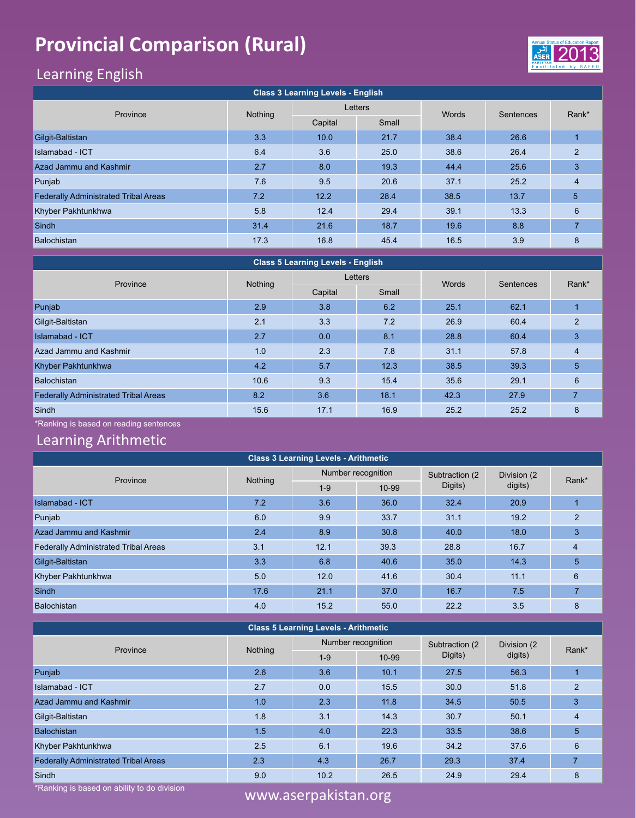# **Provincial Comparison (Rural)** 2013 2014 2013 2014



### Learning English

| <b>Class 3 Learning Levels - English</b>    |         |         |         |       |           |                |  |  |  |  |  |
|---------------------------------------------|---------|---------|---------|-------|-----------|----------------|--|--|--|--|--|
| Province                                    | Nothing |         | Letters | Words | Sentences | Rank*          |  |  |  |  |  |
|                                             |         | Capital | Small   |       |           |                |  |  |  |  |  |
| Gilgit-Baltistan                            | 3.3     | 10.0    | 21.7    | 38.4  | 26.6      |                |  |  |  |  |  |
| Islamabad - ICT                             | 6.4     | 3.6     | 25.0    | 38.6  | 26.4      | $\overline{2}$ |  |  |  |  |  |
| Azad Jammu and Kashmir                      | 2.7     | 8.0     | 19.3    | 44.4  | 25.6      | 3              |  |  |  |  |  |
| Punjab                                      | 7.6     | 9.5     | 20.6    | 37.1  | 25.2      | $\overline{4}$ |  |  |  |  |  |
| <b>Federally Administrated Tribal Areas</b> | 7.2     | 12.2    | 28.4    | 38.5  | 13.7      | 5              |  |  |  |  |  |
| Khyber Pakhtunkhwa                          | 5.8     | 12.4    | 29.4    | 39.1  | 13.3      | 6              |  |  |  |  |  |
| Sindh                                       | 31.4    | 21.6    | 18.7    | 19.6  | 8.8       |                |  |  |  |  |  |
| Balochistan                                 | 17.3    | 16.8    | 45.4    | 16.5  | 3.9       | 8              |  |  |  |  |  |

| <b>Class 5 Learning Levels - English</b>    |         |         |         |       |           |                |  |  |  |  |  |
|---------------------------------------------|---------|---------|---------|-------|-----------|----------------|--|--|--|--|--|
| Province                                    | Nothing |         | Letters | Words | Sentences | Rank*          |  |  |  |  |  |
|                                             |         | Capital | Small   |       |           |                |  |  |  |  |  |
| Punjab                                      | 2.9     | 3.8     | 6.2     | 25.1  | 62.1      |                |  |  |  |  |  |
| Gilgit-Baltistan                            | 2.1     | 3.3     | 7.2     | 26.9  | 60.4      | $\overline{2}$ |  |  |  |  |  |
| <b>Islamabad - ICT</b>                      | 2.7     | 0.0     | 8.1     | 28.8  | 60.4      | 3              |  |  |  |  |  |
| Azad Jammu and Kashmir                      | 1.0     | 2.3     | 7.8     | 31.1  | 57.8      | $\overline{4}$ |  |  |  |  |  |
| Khyber Pakhtunkhwa                          | 4.2     | 5.7     | 12.3    | 38.5  | 39.3      | 5 <sub>5</sub> |  |  |  |  |  |
| <b>Balochistan</b>                          | 10.6    | 9.3     | 15.4    | 35.6  | 29.1      | 6              |  |  |  |  |  |
| <b>Federally Administrated Tribal Areas</b> | 8.2     | 3.6     | 18.1    | 42.3  | 27.9      |                |  |  |  |  |  |
| Sindh                                       | 15.6    | 17.1    | 16.9    | 25.2  | 25.2      | 8              |  |  |  |  |  |

\*Ranking is based on reading sentences

#### Learning Arithmetic

| <b>Class 3 Learning Levels - Arithmetic</b> |         |         |                    |                 |             |       |  |  |  |  |  |
|---------------------------------------------|---------|---------|--------------------|-----------------|-------------|-------|--|--|--|--|--|
| Province                                    |         |         | Number recognition | Subtraction (2) | Division (2 | Rank* |  |  |  |  |  |
|                                             | Nothing | $1 - 9$ | 10-99              | Digits)         | digits)     |       |  |  |  |  |  |
| Islamabad - ICT                             | 7.2     | 3.6     | 36.0               | 32.4            | 20.9        |       |  |  |  |  |  |
| Punjab                                      | 6.0     | 9.9     | 33.7               | 31.1            | 19.2        | 2     |  |  |  |  |  |
| Azad Jammu and Kashmir                      | 2.4     | 8.9     | 30.8               | 40.0            | 18.0        | 3     |  |  |  |  |  |
| <b>Federally Administrated Tribal Areas</b> | 3.1     | 12.1    | 39.3               | 28.8            | 16.7        | 4     |  |  |  |  |  |
| Gilgit-Baltistan                            | 3.3     | 6.8     | 40.6               | 35.0            | 14.3        | 5     |  |  |  |  |  |
| Khyber Pakhtunkhwa                          | 5.0     | 12.0    | 41.6               | 30.4            | 11.1        | 6     |  |  |  |  |  |
| <b>Sindh</b>                                | 17.6    | 21.1    | 37.0               | 16.7            | 7.5         |       |  |  |  |  |  |
| Balochistan                                 | 4.0     | 15.2    | 55.0               | 22.2            | 3.5         | 8     |  |  |  |  |  |

#### **Class 5 Learning Levels - Arithmetic**

| Province                                    | Nothing |       | Number recognition | Subtraction (2 | Division (2 | Rank* |  |  |  |  |  |
|---------------------------------------------|---------|-------|--------------------|----------------|-------------|-------|--|--|--|--|--|
|                                             |         | $1-9$ | 10-99              | Digits)        | digits)     |       |  |  |  |  |  |
| Punjab                                      | 2.6     | 3.6   | 10.1               | 27.5           | 56.3        |       |  |  |  |  |  |
| <b>Islamabad - ICT</b>                      | 2.7     | 0.0   | 15.5               | 30.0           | 51.8        | 2     |  |  |  |  |  |
| Azad Jammu and Kashmir                      | 1.0     | 2.3   | 11.8               | 34.5           | 50.5        | 3     |  |  |  |  |  |
| Gilgit-Baltistan                            | 1.8     | 3.1   | 14.3               | 30.7           | 50.1        | 4     |  |  |  |  |  |
| <b>Balochistan</b>                          | 1.5     | 4.0   | 22.3               | 33.5           | 38.6        | 5     |  |  |  |  |  |
| Khyber Pakhtunkhwa                          | 2.5     | 6.1   | 19.6               | 34.2           | 37.6        | 6     |  |  |  |  |  |
| <b>Federally Administrated Tribal Areas</b> | 2.3     | 4.3   | 26.7               | 29.3           | 37.4        |       |  |  |  |  |  |
| Sindh                                       | 9.0     | 10.2  | 26.5               | 24.9           | 29.4        | 8     |  |  |  |  |  |

\*Ranking is based on ability to do division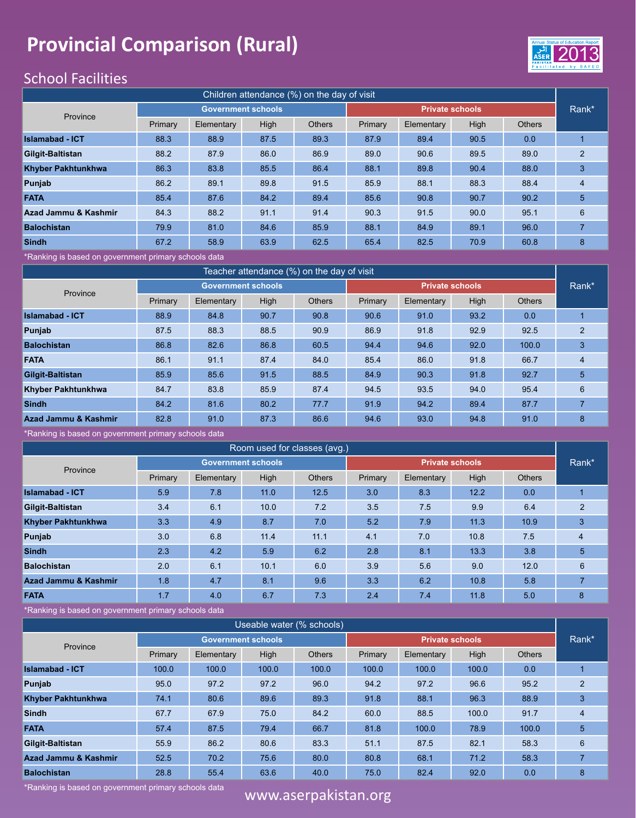### **Provincial Comparison (Rural)** 2013 2014 2013 2014



### School Facilities

| Children attendance (%) on the day of visit |         |            |                           |               |                        |            |      |               |                |  |  |
|---------------------------------------------|---------|------------|---------------------------|---------------|------------------------|------------|------|---------------|----------------|--|--|
| Province                                    |         |            | <b>Government schools</b> |               | <b>Private schools</b> |            |      |               | Rank*          |  |  |
|                                             | Primary | Elementary | High                      | <b>Others</b> | Primary                | Elementary | High | <b>Others</b> |                |  |  |
| <b>Islamabad - ICT</b>                      | 88.3    | 88.9       | 87.5                      | 89.3          | 87.9                   | 89.4       | 90.5 | 0.0           |                |  |  |
| Gilgit-Baltistan                            | 88.2    | 87.9       | 86.0                      | 86.9          | 89.0                   | 90.6       | 89.5 | 89.0          | $\mathfrak{p}$ |  |  |
| <b>Khyber Pakhtunkhwa</b>                   | 86.3    | 83.8       | 85.5                      | 86.4          | 88.1                   | 89.8       | 90.4 | 88.0          | 3              |  |  |
| Punjab                                      | 86.2    | 89.1       | 89.8                      | 91.5          | 85.9                   | 88.1       | 88.3 | 88.4          | $\overline{4}$ |  |  |
| <b>FATA</b>                                 | 85.4    | 87.6       | 84.2                      | 89.4          | 85.6                   | 90.8       | 90.7 | 90.2          | 5              |  |  |
| Azad Jammu & Kashmir                        | 84.3    | 88.2       | 91.1                      | 91.4          | 90.3                   | 91.5       | 90.0 | 95.1          | 6              |  |  |
| <b>Balochistan</b>                          | 79.9    | 81.0       | 84.6                      | 85.9          | 88.1                   | 84.9       | 89.1 | 96.0          | 7              |  |  |
| <b>Sindh</b>                                | 67.2    | 58.9       | 63.9                      | 62.5          | 65.4                   | 82.5       | 70.9 | 60.8          | 8              |  |  |

\*Ranking is based on government primary schools data

| Teacher attendance (%) on the day of visit |         |                           |      |               |         |                        |      |               |                |  |
|--------------------------------------------|---------|---------------------------|------|---------------|---------|------------------------|------|---------------|----------------|--|
| Province                                   |         | <b>Government schools</b> |      |               |         | <b>Private schools</b> |      |               | Rank*          |  |
|                                            | Primary | Elementary                | High | <b>Others</b> | Primary | Elementary             | High | <b>Others</b> |                |  |
| <b>Islamabad - ICT</b>                     | 88.9    | 84.8                      | 90.7 | 90.8          | 90.6    | 91.0                   | 93.2 | 0.0           |                |  |
| Punjab                                     | 87.5    | 88.3                      | 88.5 | 90.9          | 86.9    | 91.8                   | 92.9 | 92.5          | $\overline{2}$ |  |
| <b>Balochistan</b>                         | 86.8    | 82.6                      | 86.8 | 60.5          | 94.4    | 94.6                   | 92.0 | 100.0         | 3              |  |
| <b>FATA</b>                                | 86.1    | 91.1                      | 87.4 | 84.0          | 85.4    | 86.0                   | 91.8 | 66.7          | $\overline{4}$ |  |
| Gilgit-Baltistan                           | 85.9    | 85.6                      | 91.5 | 88.5          | 84.9    | 90.3                   | 91.8 | 92.7          | 5              |  |
| <b>Khyber Pakhtunkhwa</b>                  | 84.7    | 83.8                      | 85.9 | 87.4          | 94.5    | 93.5                   | 94.0 | 95.4          | 6              |  |
| <b>Sindh</b>                               | 84.2    | 81.6                      | 80.2 | 77.7          | 91.9    | 94.2                   | 89.4 | 87.7          | 7              |  |
| Azad Jammu & Kashmir                       | 82.8    | 91.0                      | 87.3 | 86.6          | 94.6    | 93.0                   | 94.8 | 91.0          | 8              |  |

\*Ranking is based on government primary schools data

| Room used for classes (avg.) |         |            |                           |               |         |            |                        |        |       |  |
|------------------------------|---------|------------|---------------------------|---------------|---------|------------|------------------------|--------|-------|--|
| Province                     |         |            | <b>Government schools</b> |               |         |            | <b>Private schools</b> |        | Rank* |  |
|                              | Primary | Elementary | High                      | <b>Others</b> | Primary | Elementary | High                   | Others |       |  |
| <b>Islamabad - ICT</b>       | 5.9     | 7.8        | 11.0                      | 12.5          | 3.0     | 8.3        | 12.2                   | 0.0    |       |  |
| <b>Gilgit-Baltistan</b>      | 3.4     | 6.1        | 10.0                      | 7.2           | 3.5     | 7.5        | 9.9                    | 6.4    | 2     |  |
| <b>Khyber Pakhtunkhwa</b>    | 3.3     | 4.9        | 8.7                       | 7.0           | 5.2     | 7.9        | 11.3                   | 10.9   | 3     |  |
| Punjab                       | 3.0     | 6.8        | 11.4                      | 11.1          | 4.1     | 7.0        | 10.8                   | 7.5    | 4     |  |
| <b>Sindh</b>                 | 2.3     | 4.2        | 5.9                       | 6.2           | 2.8     | 8.1        | 13.3                   | 3.8    | 5     |  |
| <b>Balochistan</b>           | 2.0     | 6.1        | 10.1                      | 6.0           | 3.9     | 5.6        | 9.0                    | 12.0   | 6     |  |
| Azad Jammu & Kashmir         | 1.8     | 4.7        | 8.1                       | 9.6           | 3.3     | 6.2        | 10.8                   | 5.8    |       |  |
| <b>FATA</b>                  | 1.7     | 4.0        | 6.7                       | 7.3           | 2.4     | 7.4        | 11.8                   | 5.0    | 8     |  |

\*Ranking is based on government primary schools data

| Useable water (% schools) |         |                   |                           |               |         |                        |       |               |                |  |
|---------------------------|---------|-------------------|---------------------------|---------------|---------|------------------------|-------|---------------|----------------|--|
| Province                  |         |                   | <b>Government schools</b> |               |         | <b>Private schools</b> |       |               | Rank*          |  |
|                           | Primary | <b>Elementary</b> | High                      | <b>Others</b> | Primary | Elementary             | High  | <b>Others</b> |                |  |
| <b>Islamabad - ICT</b>    | 100.0   | 100.0             | 100.0                     | 100.0         | 100.0   | 100.0                  | 100.0 | 0.0           |                |  |
| Punjab                    | 95.0    | 97.2              | 97.2                      | 96.0          | 94.2    | 97.2                   | 96.6  | 95.2          | $\overline{2}$ |  |
| <b>Khyber Pakhtunkhwa</b> | 74.1    | 80.6              | 89.6                      | 89.3          | 91.8    | 88.1                   | 96.3  | 88.9          | 3              |  |
| <b>Sindh</b>              | 67.7    | 67.9              | 75.0                      | 84.2          | 60.0    | 88.5                   | 100.0 | 91.7          | $\overline{4}$ |  |
| <b>FATA</b>               | 57.4    | 87.5              | 79.4                      | 66.7          | 81.8    | 100.0                  | 78.9  | 100.0         | 5              |  |
| <b>Gilgit-Baltistan</b>   | 55.9    | 86.2              | 80.6                      | 83.3          | 51.1    | 87.5                   | 82.1  | 58.3          | 6              |  |
| Azad Jammu & Kashmir      | 52.5    | 70.2              | 75.6                      | 80.0          | 80.8    | 68.1                   | 71.2  | 58.3          | 7              |  |
| <b>Balochistan</b>        | 28.8    | 55.4              | 63.6                      | 40.0          | 75.0    | 82.4                   | 92.0  | 0.0           | 8              |  |

\*Ranking is based on government primary schools data